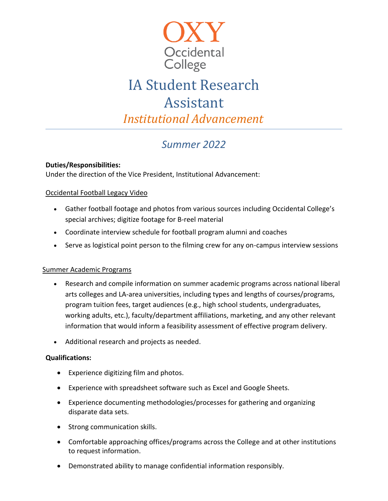

# IA Student Research Assistant

*Institutional Advancement*

## *Summer 2022*

#### **Duties/Responsibilities:**

Under the direction of the Vice President, Institutional Advancement:

#### Occidental Football Legacy Video

- Gather football footage and photos from various sources including Occidental College's special archives; digitize footage for B-reel material
- Coordinate interview schedule for football program alumni and coaches
- Serve as logistical point person to the filming crew for any on-campus interview sessions

### Summer Academic Programs

- Research and compile information on summer academic programs across national liberal arts colleges and LA-area universities, including types and lengths of courses/programs, program tuition fees, target audiences (e.g., high school students, undergraduates, working adults, etc.), faculty/department affiliations, marketing, and any other relevant information that would inform a feasibility assessment of effective program delivery.
- Additional research and projects as needed.

#### **Qualifications:**

- Experience digitizing film and photos.
- Experience with spreadsheet software such as Excel and Google Sheets.
- Experience documenting methodologies/processes for gathering and organizing disparate data sets.
- Strong communication skills.
- Comfortable approaching offices/programs across the College and at other institutions to request information.
- Demonstrated ability to manage confidential information responsibly.